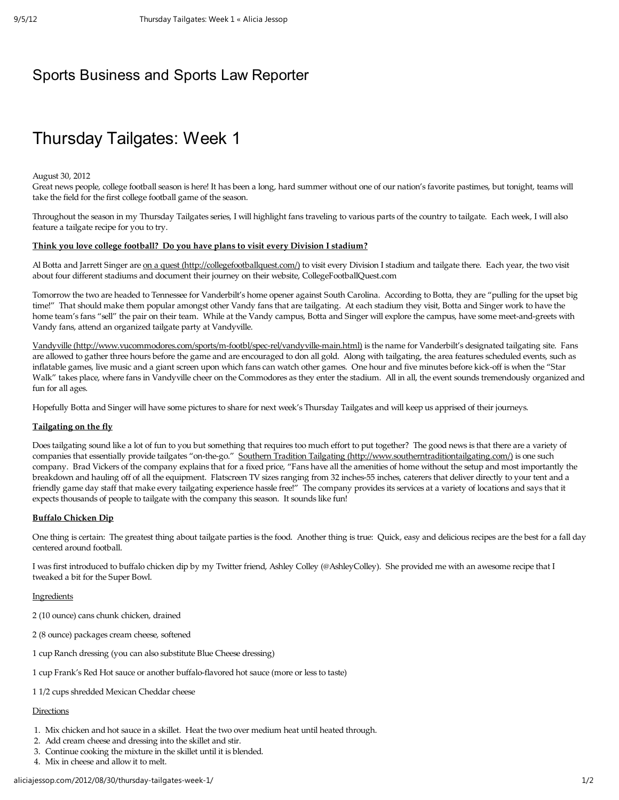## Sports Business and Sports Law Reporter

# Thursday Tailgates: Week 1

#### August 30, 2012

Great news people, college football season is here! It has been a long, hard summer without one of our nation's favorite pastimes, but tonight, teams will take the field for the first college football game of the season.

Throughout the season in my Thursday Tailgates series, I will highlight fans traveling to various parts of the country to tailgate. Each week, I will also feature a tailgate recipe for you to try.

### Think you love college football? Do you have plans to visit every Division I stadium?

Al Botta and Jarrett Singer are on a quest (http://collegefootballquest.com/) to visit every Division I stadium and tailgate there. Each year, the two visit about four different stadiums and document their journey on their website, CollegeFootballQuest.com

Tomorrow the two are headed to Tennessee for Vanderbilt's home opener against South Carolina. According to Botta, they are "pulling for the upset big time!" That should make them popular amongst other Vandy fans that are tailgating. At each stadium they visit, Botta and Singer work to have the home team's fans "sell" the pair on their team. While at the Vandy campus, Botta and Singer will explore the campus, have some meet-and-greets with Vandy fans, attend an organized tailgate party at Vandyville.

Vandyville (http://www.vucommodores.com/sports/m-footbl/spec-rel/vandyville-main.html) is the name for Vanderbilt's designated tailgating site. Fans are allowed to gather three hours before the game and are encouraged to don all gold. Along with tailgating, the area features scheduled events, such as inflatable games, live music and a giant screen upon which fans can watch other games. One hour and five minutes before kick-off is when the "Star Walk" takes place, where fans in Vandyville cheer on the Commodores as they enter the stadium. All in all, the event sounds tremendously organized and fun for all ages.

Hopefully Botta and Singer will have some pictures to share for next week's Thursday Tailgates and will keep us apprised of their journeys.

### Tailgating on the fly

Does tailgating sound like a lot of fun to you but something that requires too much effort to put together? The good news is that there are a variety of companies that essentially provide tailgates "on-the-go." Southern Tradition Tailgating (http://www.southerntraditiontailgating.com/) is one such company. Brad Vickers of the company explains that for a fixed price, "Fans have all the amenities of home without the setup and most importantly the breakdown and hauling off of all the equipment. Flatscreen TV sizes ranging from 32 inches-55 inches, caterers that deliver directly to your tent and a friendly game day staff that make every tailgating experience hassle free!" The company provides its services at a variety of locations and says that it expects thousands of people to tailgate with the company this season. It sounds like fun!

### Buffalo Chicken Dip

One thing is certain: The greatest thing about tailgate parties is the food. Another thing is true: Quick, easy and delicious recipes are the best for a fall day centered around football.

I was first introduced to buffalo chicken dip by my Twitter friend, Ashley Colley (@AshleyColley). She provided me with an awesome recipe that I tweaked a bit for the Super Bowl.

### Ingredients

- 2 (10 ounce) cans chunk chicken, drained
- 2 (8 ounce) packages cream cheese, softened
- 1 cup Ranch dressing (you can also substitute Blue Cheese dressing)
- 1 cup Frank's Red Hot sauce or another buffalo-flavored hot sauce (more or less to taste)
- 1 1/2 cups shredded Mexican Cheddar cheese

### **Directions**

- 1. Mix chicken and hot sauce in a skillet. Heat the two over medium heat until heated through.
- 2. Add cream cheese and dressing into the skillet and stir.
- 3. Continue cooking the mixture in the skillet until it is blended.
- 4. Mix in cheese and allow it to melt.